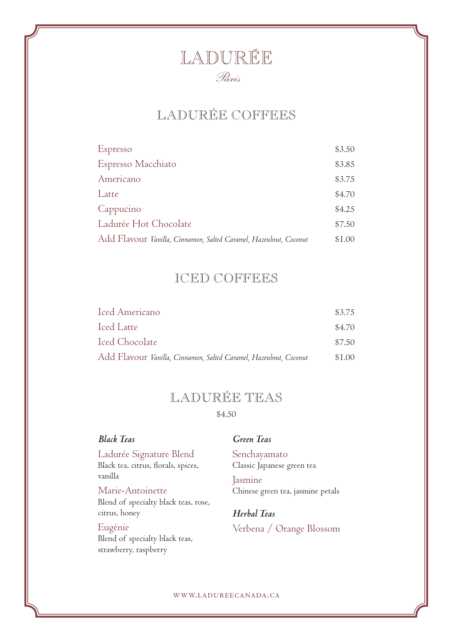# LADURÉE COFFEES

| Espresso                                                          | \$3.50 |
|-------------------------------------------------------------------|--------|
| Espresso Macchiato                                                | \$3.85 |
| Americano                                                         | \$3.75 |
| Latte                                                             | \$4.70 |
| Cappucino                                                         | \$4.25 |
| Ladurée Hot Chocolate                                             | \$7.50 |
| Add Flavour Vanilla, Cinnamon, Salted Caramel, Hazeulnut, Coconut | \$1.00 |

### ICED COFFEES

| Iced Americano                                                    | \$3.75 |
|-------------------------------------------------------------------|--------|
| Iced Latte                                                        | \$4.70 |
| Iced Chocolate                                                    | \$7.50 |
| Add Flavour Vanilla, Cinnamon, Salted Caramel, Hazeulnut, Coconut | \$1.00 |

## LADURÉE TEAS

\$4.50

### *Black Teas*

Ladurée Signature Blend Black tea, citrus, florals, spices, vanilla

Marie-Antoinette Blend of specialty black teas, rose, citrus, honey

#### Eugénie

Blend of specialty black teas, strawberry, raspberry

#### *Green Teas*

Senchayamato Classic Japanese green tea Jasmine Chinese green tea, jasmine petals

*Herbal Teas* Verbena / Orange Blossom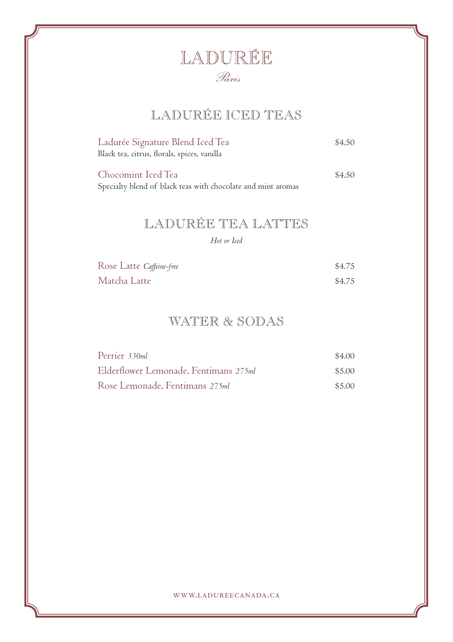# LADURÉE ICED TEAS

| Ladurée Signature Blend Iced Tea            | \$4.50 |
|---------------------------------------------|--------|
| Black tea, citrus, florals, spices, vanilla |        |
|                                             |        |
| Chocomint Iced Tea                          | \$4.50 |

Specialty blend of black teas with chocolate and mint aromas

# LADURÉE TEA LATTES

*Hot or Iced*

| Rose Latte Caffeine-free | \$4.75 |
|--------------------------|--------|
| Matcha Latte             | \$4.75 |

### WATER & SODAS

| Perrier 330ml                         | \$4.00 |
|---------------------------------------|--------|
| Elderflower Lemonade, Fentimans 275ml | \$5.00 |
| Rose Lemonade, Fentimans 275ml        | \$5.00 |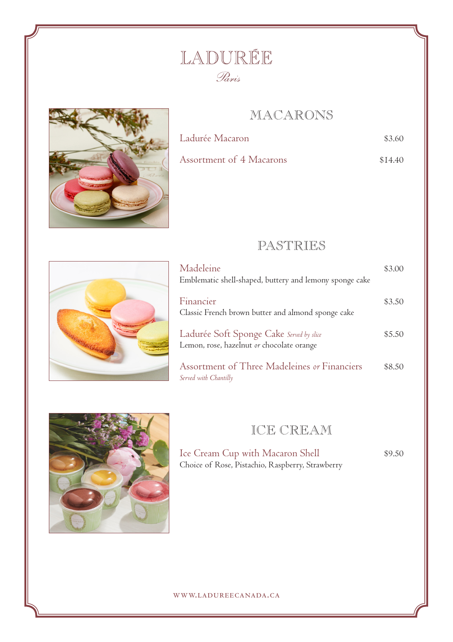### MACARONS



| Ladurée Macaron          | \$3.60  |
|--------------------------|---------|
| Assortment of 4 Macarons | \$14.40 |

PASTRIES



| Madeleine<br>Emblematic shell-shaped, buttery and lemony sponge cake                  | \$3.00 |
|---------------------------------------------------------------------------------------|--------|
| Financier<br>Classic French brown butter and almond sponge cake                       | \$3.50 |
| Ladurée Soft Sponge Cake Served by slice<br>Lemon, rose, hazelnut or chocolate orange | \$5.50 |
| Assortment of Three Madeleines or Financiers<br>Served with Chantilly                 | \$8.50 |



### ICE CREAM

Ice Cream Cup with Macaron Shell  $$9.50$ Choice of Rose, Pistachio, Raspberry, Strawberry